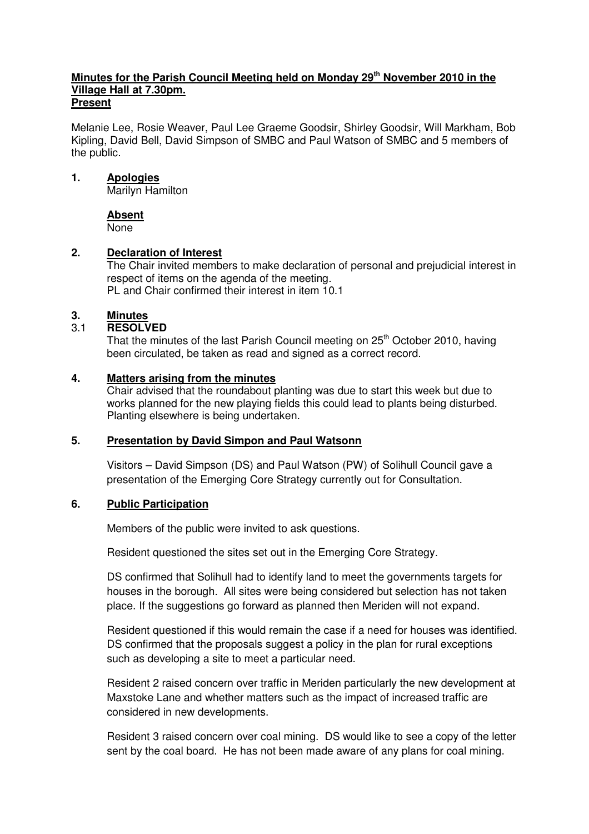#### **Minutes for the Parish Council Meeting held on Monday 29th November 2010 in the Village Hall at 7.30pm. Present**

Melanie Lee, Rosie Weaver, Paul Lee Graeme Goodsir, Shirley Goodsir, Will Markham, Bob Kipling, David Bell, David Simpson of SMBC and Paul Watson of SMBC and 5 members of the public.

### **1. Apologies**

Marilyn Hamilton

### **Absent**

None

### **2. Declaration of Interest**

The Chair invited members to make declaration of personal and prejudicial interest in respect of items on the agenda of the meeting. PL and Chair confirmed their interest in item 10.1

### **3. Minutes**

### 3.1 **RESOLVED**

That the minutes of the last Parish Council meeting on 25<sup>th</sup> October 2010, having been circulated, be taken as read and signed as a correct record.

### **4. Matters arising from the minutes**

Chair advised that the roundabout planting was due to start this week but due to works planned for the new playing fields this could lead to plants being disturbed. Planting elsewhere is being undertaken.

### **5. Presentation by David Simpon and Paul Watsonn**

 Visitors – David Simpson (DS) and Paul Watson (PW) of Solihull Council gave a presentation of the Emerging Core Strategy currently out for Consultation.

### **6. Public Participation**

Members of the public were invited to ask questions.

Resident questioned the sites set out in the Emerging Core Strategy.

 DS confirmed that Solihull had to identify land to meet the governments targets for houses in the borough. All sites were being considered but selection has not taken place. If the suggestions go forward as planned then Meriden will not expand.

 Resident questioned if this would remain the case if a need for houses was identified. DS confirmed that the proposals suggest a policy in the plan for rural exceptions such as developing a site to meet a particular need.

 Resident 2 raised concern over traffic in Meriden particularly the new development at Maxstoke Lane and whether matters such as the impact of increased traffic are considered in new developments.

 Resident 3 raised concern over coal mining. DS would like to see a copy of the letter sent by the coal board. He has not been made aware of any plans for coal mining.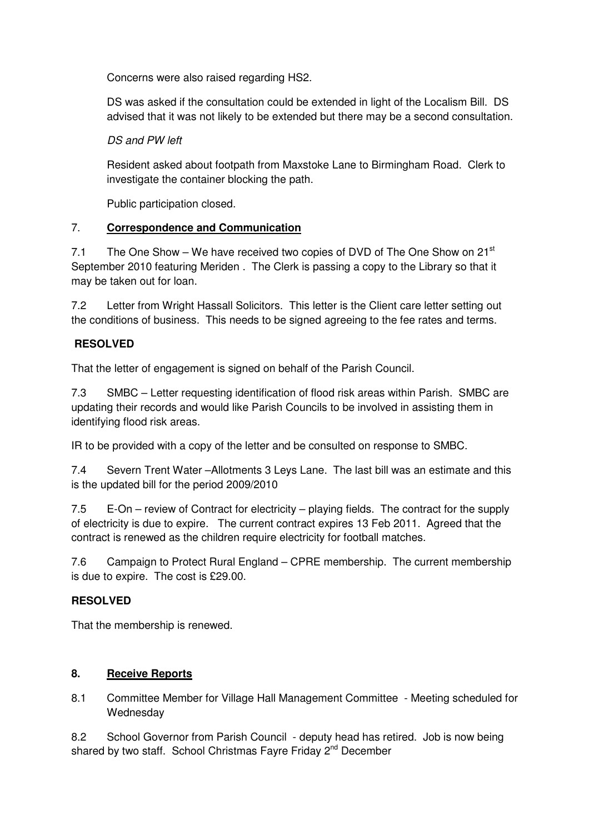Concerns were also raised regarding HS2.

 DS was asked if the consultation could be extended in light of the Localism Bill. DS advised that it was not likely to be extended but there may be a second consultation.

# DS and PW left

Resident asked about footpath from Maxstoke Lane to Birmingham Road. Clerk to investigate the container blocking the path.

Public participation closed.

# 7. **Correspondence and Communication**

7.1 The One Show – We have received two copies of DVD of The One Show on 21 $^{\rm st}$ September 2010 featuring Meriden . The Clerk is passing a copy to the Library so that it may be taken out for loan.

7.2 Letter from Wright Hassall Solicitors. This letter is the Client care letter setting out the conditions of business. This needs to be signed agreeing to the fee rates and terms.

# **RESOLVED**

That the letter of engagement is signed on behalf of the Parish Council.

7.3 SMBC – Letter requesting identification of flood risk areas within Parish. SMBC are updating their records and would like Parish Councils to be involved in assisting them in identifying flood risk areas.

IR to be provided with a copy of the letter and be consulted on response to SMBC.

7.4 Severn Trent Water –Allotments 3 Leys Lane. The last bill was an estimate and this is the updated bill for the period 2009/2010

7.5 E-On – review of Contract for electricity – playing fields. The contract for the supply of electricity is due to expire. The current contract expires 13 Feb 2011. Agreed that the contract is renewed as the children require electricity for football matches.

7.6 Campaign to Protect Rural England – CPRE membership. The current membership is due to expire. The cost is £29.00.

# **RESOLVED**

That the membership is renewed.

## **8. Receive Reports**

8.1 Committee Member for Village Hall Management Committee - Meeting scheduled for **Wednesdav** 

8.2 School Governor from Parish Council - deputy head has retired. Job is now being shared by two staff. School Christmas Fayre Friday 2<sup>nd</sup> December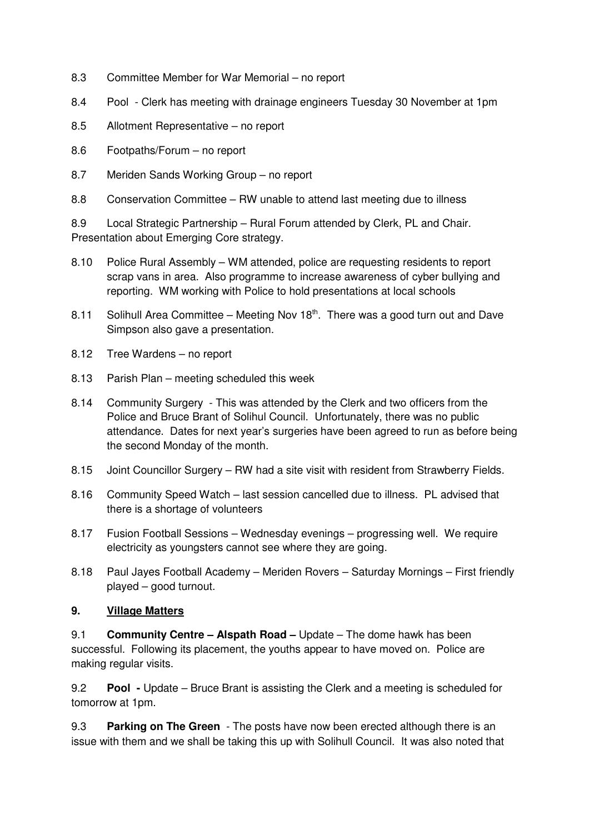- 8.3 Committee Member for War Memorial no report
- 8.4 Pool Clerk has meeting with drainage engineers Tuesday 30 November at 1pm
- 8.5 Allotment Representative no report
- 8.6 Footpaths/Forum no report
- 8.7 Meriden Sands Working Group no report
- 8.8 Conservation Committee RW unable to attend last meeting due to illness

8.9 Local Strategic Partnership – Rural Forum attended by Clerk, PL and Chair. Presentation about Emerging Core strategy.

- 8.10 Police Rural Assembly WM attended, police are requesting residents to report scrap vans in area. Also programme to increase awareness of cyber bullying and reporting. WM working with Police to hold presentations at local schools
- 8.11 Solihull Area Committee Meeting Nov  $18<sup>th</sup>$ . There was a good turn out and Dave Simpson also gave a presentation.
- 8.12 Tree Wardens no report
- 8.13 Parish Plan meeting scheduled this week
- 8.14 Community Surgery This was attended by the Clerk and two officers from the Police and Bruce Brant of Solihul Council. Unfortunately, there was no public attendance. Dates for next year's surgeries have been agreed to run as before being the second Monday of the month.
- 8.15 Joint Councillor Surgery RW had a site visit with resident from Strawberry Fields.
- 8.16 Community Speed Watch last session cancelled due to illness. PL advised that there is a shortage of volunteers
- 8.17 Fusion Football Sessions Wednesday evenings progressing well. We require electricity as youngsters cannot see where they are going.
- 8.18 Paul Jayes Football Academy Meriden Rovers Saturday Mornings First friendly played – good turnout.

### **9. Village Matters**

9.1 **Community Centre – Alspath Road –** Update – The dome hawk has been successful. Following its placement, the youths appear to have moved on. Police are making regular visits.

9.2 **Pool -** Update – Bruce Brant is assisting the Clerk and a meeting is scheduled for tomorrow at 1pm.

9.3 **Parking on The Green** - The posts have now been erected although there is an issue with them and we shall be taking this up with Solihull Council. It was also noted that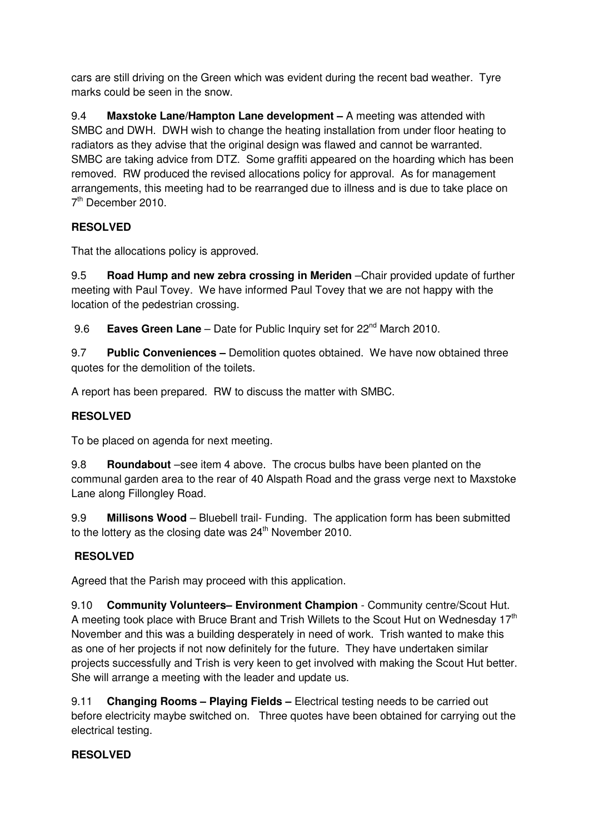cars are still driving on the Green which was evident during the recent bad weather. Tyre marks could be seen in the snow.

9.4 **Maxstoke Lane/Hampton Lane development –** A meeting was attended with SMBC and DWH. DWH wish to change the heating installation from under floor heating to radiators as they advise that the original design was flawed and cannot be warranted. SMBC are taking advice from DTZ. Some graffiti appeared on the hoarding which has been removed. RW produced the revised allocations policy for approval. As for management arrangements, this meeting had to be rearranged due to illness and is due to take place on 7<sup>th</sup> December 2010.

# **RESOLVED**

That the allocations policy is approved.

9.5 **Road Hump and new zebra crossing in Meriden** –Chair provided update of further meeting with Paul Tovey. We have informed Paul Tovey that we are not happy with the location of the pedestrian crossing.

9.6 **Eaves Green Lane** – Date for Public Inquiry set for 22<sup>nd</sup> March 2010.

9.7 **Public Conveniences –** Demolition quotes obtained. We have now obtained three quotes for the demolition of the toilets.

A report has been prepared. RW to discuss the matter with SMBC.

# **RESOLVED**

To be placed on agenda for next meeting.

9.8 **Roundabout** –see item 4 above. The crocus bulbs have been planted on the communal garden area to the rear of 40 Alspath Road and the grass verge next to Maxstoke Lane along Fillongley Road.

9.9 **Millisons Wood** – Bluebell trail- Funding. The application form has been submitted to the lottery as the closing date was  $24<sup>th</sup>$  November 2010.

# **RESOLVED**

Agreed that the Parish may proceed with this application.

9.10 **Community Volunteers– Environment Champion** - Community centre/Scout Hut. A meeting took place with Bruce Brant and Trish Willets to the Scout Hut on Wednesday  $17<sup>th</sup>$ November and this was a building desperately in need of work. Trish wanted to make this as one of her projects if not now definitely for the future. They have undertaken similar projects successfully and Trish is very keen to get involved with making the Scout Hut better. She will arrange a meeting with the leader and update us.

9.11 **Changing Rooms – Playing Fields –** Electrical testing needs to be carried out before electricity maybe switched on. Three quotes have been obtained for carrying out the electrical testing.

## **RESOLVED**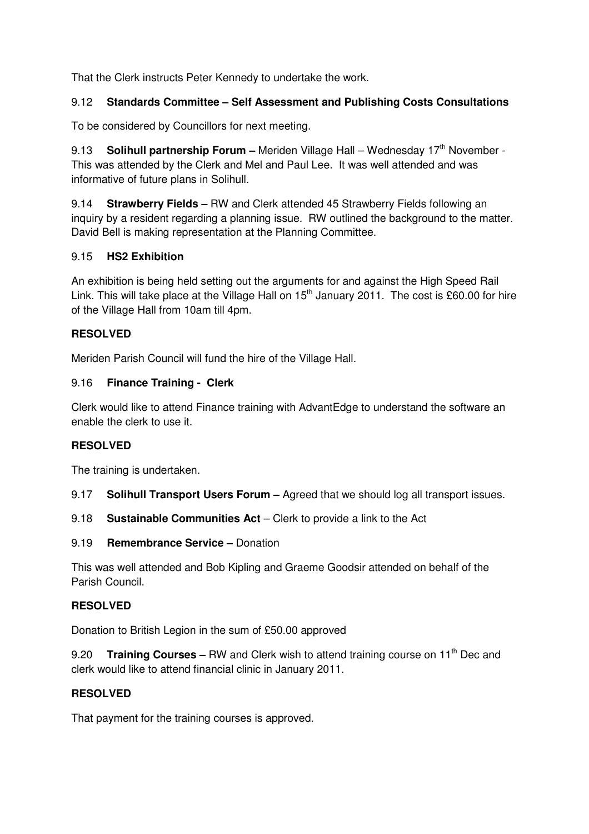That the Clerk instructs Peter Kennedy to undertake the work.

## 9.12 **Standards Committee – Self Assessment and Publishing Costs Consultations**

To be considered by Councillors for next meeting.

9.13 **Solihull partnership Forum –** Meriden Village Hall – Wednesday 17<sup>th</sup> November -This was attended by the Clerk and Mel and Paul Lee. It was well attended and was informative of future plans in Solihull.

9.14 **Strawberry Fields –** RW and Clerk attended 45 Strawberry Fields following an inquiry by a resident regarding a planning issue. RW outlined the background to the matter. David Bell is making representation at the Planning Committee.

## 9.15 **HS2 Exhibition**

An exhibition is being held setting out the arguments for and against the High Speed Rail Link. This will take place at the Village Hall on 15<sup>th</sup> January 2011. The cost is £60.00 for hire of the Village Hall from 10am till 4pm.

# **RESOLVED**

Meriden Parish Council will fund the hire of the Village Hall.

# 9.16 **Finance Training - Clerk**

Clerk would like to attend Finance training with AdvantEdge to understand the software an enable the clerk to use it.

# **RESOLVED**

The training is undertaken.

- 9.17 **Solihull Transport Users Forum** Agreed that we should log all transport issues.
- 9.18 **Sustainable Communities Act**  Clerk to provide a link to the Act
- 9.19 **Remembrance Service –** Donation

This was well attended and Bob Kipling and Graeme Goodsir attended on behalf of the Parish Council.

## **RESOLVED**

Donation to British Legion in the sum of £50.00 approved

9.20 **Training Courses –** RW and Clerk wish to attend training course on 11<sup>th</sup> Dec and clerk would like to attend financial clinic in January 2011.

## **RESOLVED**

That payment for the training courses is approved.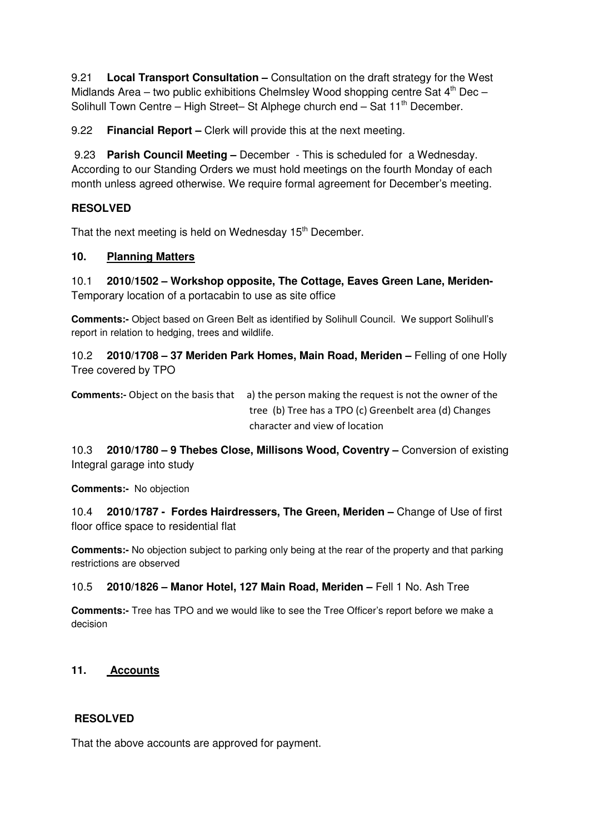9.21 **Local Transport Consultation –** Consultation on the draft strategy for the West Midlands Area – two public exhibitions Chelmsley Wood shopping centre Sat  $4<sup>th</sup>$  Dec – Solihull Town Centre – High Street– St Alphege church end – Sat  $11<sup>th</sup>$  December.

9.22 **Financial Report –** Clerk will provide this at the next meeting.

 9.23 **Parish Council Meeting –** December - This is scheduled for a Wednesday. According to our Standing Orders we must hold meetings on the fourth Monday of each month unless agreed otherwise. We require formal agreement for December's meeting.

# **RESOLVED**

That the next meeting is held on Wednesday 15<sup>th</sup> December.

## **10. Planning Matters**

10.1 **2010/1502 – Workshop opposite, The Cottage, Eaves Green Lane, Meriden-**Temporary location of a portacabin to use as site office

**Comments:-** Object based on Green Belt as identified by Solihull Council. We support Solihull's report in relation to hedging, trees and wildlife.

10.2 **2010/1708 – 37 Meriden Park Homes, Main Road, Meriden –** Felling of one Holly Tree covered by TPO

Comments:- Object on the basis that a) the person making the request is not the owner of the tree (b) Tree has a TPO (c) Greenbelt area (d) Changes character and view of location

10.3 **2010/1780 – 9 Thebes Close, Millisons Wood, Coventry –** Conversion of existing Integral garage into study

**Comments:-** No objection

10.4 **2010/1787 - Fordes Hairdressers, The Green, Meriden –** Change of Use of first floor office space to residential flat

**Comments:-** No objection subject to parking only being at the rear of the property and that parking restrictions are observed

## 10.5 **2010/1826 – Manor Hotel, 127 Main Road, Meriden –** Fell 1 No. Ash Tree

**Comments:-** Tree has TPO and we would like to see the Tree Officer's report before we make a decision

## **11. Accounts**

## **RESOLVED**

That the above accounts are approved for payment.